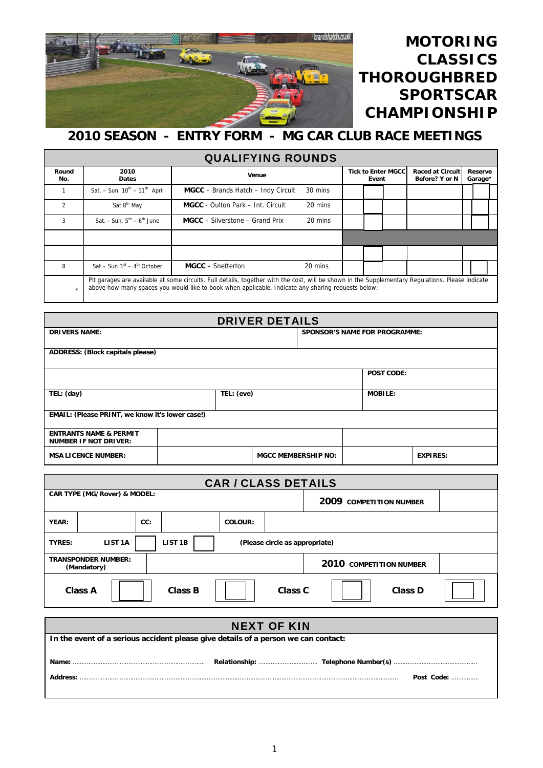

## **MOTORING CLASSICS THOROUGHBRED SPORTSCAR CHAMPIONSHIP**

## **2010 SEASON - ENTRY FORM - MG CAR CLUB RACE MEETINGS**

| <b>QUALIFYING ROUNDS</b> |                                              |                                                                                                                                                                                                                                                         |         |  |  |                    |  |  |
|--------------------------|----------------------------------------------|---------------------------------------------------------------------------------------------------------------------------------------------------------------------------------------------------------------------------------------------------------|---------|--|--|--------------------|--|--|
| Round<br>No.             | 2010<br><b>Dates</b>                         | Venue                                                                                                                                                                                                                                                   |         |  |  | Reserve<br>Garage* |  |  |
|                          | Sat. - Sun. $10^{th}$ - $11^{th}$ April      | MGCC - Brands Hatch - Indy Circuit                                                                                                                                                                                                                      | 30 mins |  |  |                    |  |  |
| $\overline{2}$           | Sat 8 <sup>th</sup> May                      | <b>MGCC</b> - Oulton Park – Int. Circuit                                                                                                                                                                                                                | 20 mins |  |  |                    |  |  |
| 3                        | Sat. - Sun. $5th - 6th$ June                 | <b>MGCC</b> – Silverstone – Grand Prix                                                                                                                                                                                                                  | 20 mins |  |  |                    |  |  |
|                          |                                              |                                                                                                                                                                                                                                                         |         |  |  |                    |  |  |
|                          |                                              |                                                                                                                                                                                                                                                         |         |  |  |                    |  |  |
| 8                        | Sat - Sun $3^{rd}$ - 4 <sup>th</sup> October | <b>MGCC</b> – Snetterton                                                                                                                                                                                                                                | 20 mins |  |  |                    |  |  |
| $\star$                  |                                              | Pit garages are available at some circuits. Full details, together with the cost, will be shown in the Supplementary Regulations. Please indicate<br>above how many spaces you would like to book when applicable. Indicate any sharing requests below: |         |  |  |                    |  |  |

| <b>DRIVER DETAILS</b>                                             |  |            |                                      |  |  |                   |                 |  |
|-------------------------------------------------------------------|--|------------|--------------------------------------|--|--|-------------------|-----------------|--|
| <b>DRIVERS NAME:</b>                                              |  |            | <b>SPONSOR'S NAME FOR PROGRAMME:</b> |  |  |                   |                 |  |
| ADDRESS: (Block capitals please)                                  |  |            |                                      |  |  |                   |                 |  |
|                                                                   |  |            |                                      |  |  | <b>POST CODE:</b> |                 |  |
| TEL: (day)                                                        |  | TEL: (eve) |                                      |  |  | <b>MOBILE:</b>    |                 |  |
| EMAIL: (Please PRINT, we know it's lower case!)                   |  |            |                                      |  |  |                   |                 |  |
| <b>ENTRANTS NAME &amp; PERMIT</b><br><b>NUMBER IF NOT DRIVER:</b> |  |            |                                      |  |  |                   |                 |  |
| <b>MSA LICENCE NUMBER:</b>                                        |  |            | <b>MGCC MEMBERSHIP NO:</b>           |  |  |                   | <b>EXPIRES:</b> |  |

| <b>CAR / CLASS DETAILS</b>                             |                                                                             |     |  |                |  |                         |  |  |
|--------------------------------------------------------|-----------------------------------------------------------------------------|-----|--|----------------|--|-------------------------|--|--|
|                                                        | CAR TYPE (MG/Rover) & MODEL:                                                |     |  |                |  | 2009 COMPETITION NUMBER |  |  |
| YEAR:                                                  |                                                                             | CC: |  | <b>COLOUR:</b> |  |                         |  |  |
| <b>TYRES:</b>                                          | LIST <sub>1B</sub><br>LIST <sub>1</sub> A<br>(Please circle as appropriate) |     |  |                |  |                         |  |  |
| <b>TRANSPONDER NUMBER:</b><br>(Mandatory)              |                                                                             |     |  |                |  | 2010 COMPETITION NUMBER |  |  |
| <b>Class B</b><br>Class C<br>Class D<br><b>Class A</b> |                                                                             |     |  |                |  |                         |  |  |

| <b>NEXT OF KIN</b>                                                                 |            |  |  |  |  |  |
|------------------------------------------------------------------------------------|------------|--|--|--|--|--|
| In the event of a serious accident please give details of a person we can contact: |            |  |  |  |  |  |
| Name:                                                                              |            |  |  |  |  |  |
| Address:                                                                           | Post Code: |  |  |  |  |  |
|                                                                                    |            |  |  |  |  |  |